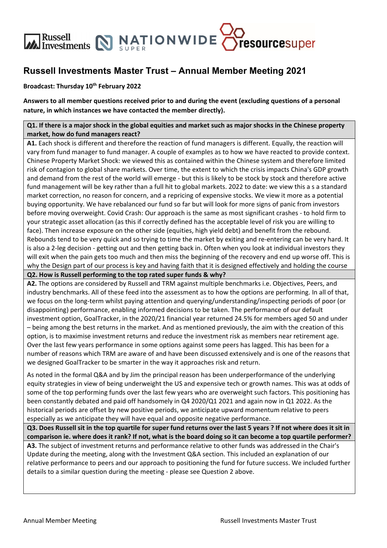

### **Russell Investments Master Trust – Annual Member Meeting 2021**

#### **Broadcast: Thursday 10th February 2022**

**Answers to all member questions received prior to and during the event (excluding questions of a personal nature, in which instances we have contacted the member directly).**

Q1. If there is a major shock in the global equities and market such as major shocks in the Chinese property **market, how do fund managers react?** 

**A1.** Each shock is different and therefore the reaction of fund managers is different. Equally, the reaction will vary from fund manager to fund manager. A couple of examples as to how we have reacted to provide context. Chinese Property Market Shock: we viewed this as contained within the Chinese system and therefore limited risk of contagion to global share markets. Over time, the extent to which the crisis impacts China's GDP growth and demand from the rest of the world will emerge - but this is likely to be stock by stock and therefore active fund management will be key rather than a full hit to global markets. 2022 to date: we view this a s a standard market correction, no reason for concern, and a repricing of expensive stocks. We view it more as a potential buying opportunity. We have rebalanced our fund so far but will look for more signs of panic from investors before moving overweight. Covid Crash: Our approach is the same as most significant crashes ‐ to hold firm to your strategic asset allocation (as this if correctly defined has the acceptable level of risk you are willing to face). Then increase exposure on the other side (equities, high yield debt) and benefit from the rebound. Rebounds tend to be very quick and so trying to time the market by exiting and re-entering can be very hard. It is also a 2‐leg decision ‐ getting out and then getting back in. Often when you look at individual investors they will exit when the pain gets too much and then miss the beginning of the recovery and end up worse off. This is why the Design part of our process is key and having faith that it is designed effectively and holding the course

**Q2. How is Russell performing to the top rated super funds & why?**

**A2.** The options are considered by Russell and TRM against multiple benchmarks i.e. Objectives, Peers, and industry benchmarks. All of these feed into the assessment as to how the options are performing. In all of that, we focus on the long-term whilst paying attention and querying/understanding/inspecting periods of poor (or disappointing) performance, enabling informed decisions to be taken. The performance of our default investment option, GoalTracker, in the 2020/21 financial year returned 24.5% for members aged 50 and under – being among the best returns in the market. And as mentioned previously, the aim with the creation of this option, is to maximise investment returns and reduce the investment risk as members near retirement age. Over the last few years performance in some options against some peers has lagged. This has been for a number of reasons which TRM are aware of and have been discussed extensively and is one of the reasons that we designed GoalTracker to be smarter in the way it approaches risk and return.

As noted in the formal Q&A and by Jim the principal reason has been underperformance of the underlying equity strategies in view of being underweight the US and expensive tech or growth names. This was at odds of some of the top performing funds over the last few years who are overweight such factors. This positioning has been constantly debated and paid off handsomely in Q4 2020/Q1 2021 and again now in Q1 2022. As the historical periods are offset by new positive periods, we anticipate upward momentum relative to peers especially as we anticipate they will have equal and opposite negative performance.

Q3. Does Russell sit in the top quartile for super fund returns over the last 5 years ? If not where does it sit in comparison ie. where does it rank? If not, what is the board doing so it can become a top quartile performer?

**A3.** The subject of investment returns and performance relative to other funds was addressed in the Chair's Update during the meeting, along with the Investment Q&A section. This included an explanation of our relative performance to peers and our approach to positioning the fund for future success. We included further details to a similar question during the meeting ‐ please see Question 2 above.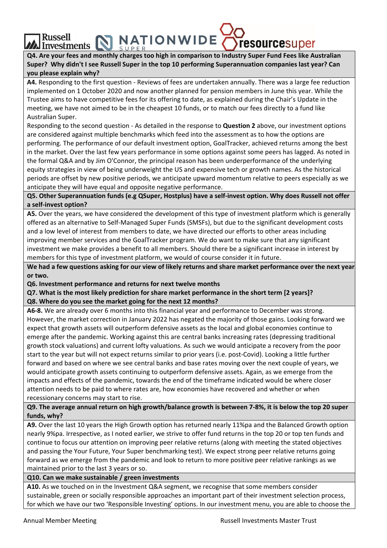## Russell Investments NATIONWIDE Cresourcesuper **Russell**

Q4. Are your fees and monthly charges too high in comparison to Industry Super Fund Fees like Australian Super? Why didn't I see Russell Super in the top 10 performing Superannuation companies last year? Can **you please explain why?**

**A4.** Responding to the first question ‐ Reviews of fees are undertaken annually. There was a large fee reduction implemented on 1 October 2020 and now another planned for pension members in June this year. While the Trustee aims to have competitive fees for its offering to date, as explained during the Chair's Update in the meeting, we have not aimed to be in the cheapest 10 funds, or to match our fees directly to a fund like Australian Super.

Responding to the second question ‐ As detailed in the response to **Question 2** above, our investment options are considered against multiple benchmarks which feed into the assessment as to how the options are performing. The performance of our default investment option, GoalTracker, achieved returns among the best in the market. Over the last few years performance in some options against some peers has lagged. As noted in the formal Q&A and by Jim O'Connor, the principal reason has been underperformance of the underlying equity strategies in view of being underweight the US and expensive tech or growth names. As the historical periods are offset by new positive periods, we anticipate upward momentum relative to peers especially as we anticipate they will have equal and opposite negative performance.

Q5. Other Superannuation funds (e.g QSuper, Hostplus) have a self-invest option. Why does Russell not offer **a self‐invest option?**

**A5.** Over the years, we have considered the development of this type of investment platform which is generally offered as an alternative to Self‐Managed Super Funds (SMSFs), but due to the significant development costs and a low level of interest from members to date, we have directed our efforts to other areas including improving member services and the GoalTracker program. We do want to make sure that any significant investment we make provides a benefit to all members. Should there be a significant increase in interest by members for this type of investment platform, we would of course consider it in future.

We had a few questions asking for our view of likely returns and share market performance over the next year **or two.**

**Q6. Investment performance and returns for next twelve months**

**Q7. What is the most likely prediction for share market performance in the short term [2 years]? Q8. Where do you see the market going for the next 12 months?**

**A6‐8.** We are already over 6 months into this financial year and performance to December was strong. However, the market correction in January 2022 has negated the majority of those gains. Looking forward we expect that growth assets will outperform defensive assets as the local and global economies continue to emerge after the pandemic. Working against this are central banks increasing rates (depressing traditional growth stock valuations) and current lofty valuations. As such we would anticipate a recovery from the poor start to the year but will not expect returns similar to prior years (i.e. post‐Covid). Looking a little further forward and based on where we see central banks and base rates moving over the next couple of years, we would anticipate growth assets continuing to outperform defensive assets. Again, as we emerge from the impacts and effects of the pandemic, towards the end of the timeframe indicated would be where closer attention needs to be paid to where rates are, how economies have recovered and whether or when recessionary concerns may start to rise.

#### Q9. The average annual return on high growth/balance growth is between 7-8%, it is below the top 20 super **funds, why?**

**A9.** Over the last 10 years the High Growth option has returned nearly 11%pa and the Balanced Growth option nearly 9%pa. Irrespective, as I noted earlier, we strive to offer fund returns in the top 20 or top ten funds and continue to focus our attention on improving peer relative returns (along with meeting the stated objectives and passing the Your Future, Your Super benchmarking test). We expect strong peer relative returns going forward as we emerge from the pandemic and look to return to more positive peer relative rankings as we maintained prior to the last 3 years or so.

#### **Q10. Can we make sustainable / green investments**

**A10.** As we touched on in the Investment Q&A segment, we recognise that some members consider sustainable, green or socially responsible approaches an important part of their investment selection process, for which we have our two 'Responsible Investing' options. In our investment menu, you are able to choose the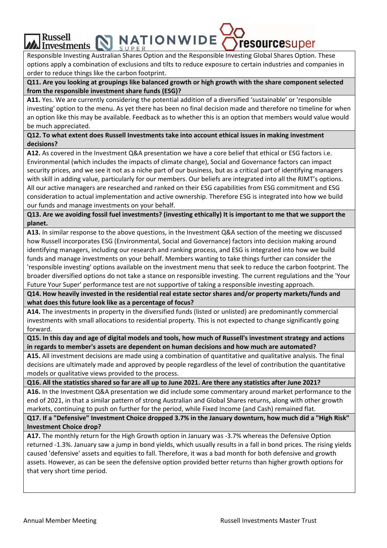# Russell<br>Investments NATIONWIDE Tresourcesuper **Russell**

Responsible Investing Australian Shares Option and the Responsible Investing Global Shares Option. These options apply a combination of exclusions and tilts to reduce exposure to certain industries and companies in order to reduce things like the carbon footprint.

**Q11. Are you looking at groupings like balanced growth or high growth with the share component selected from the responsible investment share funds (ESG)?**

**A11.** Yes. We are currently considering the potential addition of a diversified 'sustainable' or 'responsible investing' option to the menu. As yet there has been no final decision made and therefore no timeline for when an option like this may be available. Feedback as to whether this is an option that members would value would be much appreciated.

**Q12. To what extent does Russell Investments take into account ethical issues in making investment decisions?**

**A12.** As covered in the Investment Q&A presentation we have a core belief that ethical or ESG factors i.e. Environmental (which includes the impacts of climate change), Social and Governance factors can impact security prices, and we see it not as a niche part of our business, but as a critical part of identifying managers with skill in adding value, particularly for our members. Our beliefs are integrated into all the RIMT's options. All our active managers are researched and ranked on their ESG capabilities from ESG commitment and ESG consideration to actual implementation and active ownership. Therefore ESG is integrated into how we build our funds and manage investments on your behalf.

Q13. Are we avoiding fossil fuel investments? (investing ethically) It is important to me that we support the **planet.**

**A13.** In similar response to the above questions, in the Investment Q&A section of the meeting we discussed how Russell incorporates ESG (Environmental, Social and Governance) factors into decision making around identifying managers, including our research and ranking process, and ESG is integrated into how we build funds and manage investments on your behalf. Members wanting to take things further can consider the 'responsible investing' options available on the investment menu that seek to reduce the carbon footprint. The broader diversified options do not take a stance on responsible investing. The current regulations and the 'Your Future Your Super' performance test are not supportive of taking a responsible investing approach.

**Q14. How heavily invested in the residential real estate sector shares and/or property markets/funds and what does this future look like as a percentage of focus?**

**A14.** The investments in property in the diversified funds (listed or unlisted) are predominantly commercial investments with small allocations to residential property. This is not expected to change significantly going forward.

Q15. In this day and age of digital models and tools, how much of Russell's investment strategy and actions **in regards to member's assets are dependent on human decisions and how much are automated?**

**A15.** All investment decisions are made using a combination of quantitative and qualitative analysis. The final decisions are ultimately made and approved by people regardless of the level of contribution the quantitative models or qualitative views provided to the process.

Q16. All the statistics shared so far are all up to June 2021. Are there any statistics after June 2021?

**A16.** In the Investment Q&A presentation we did include some commentary around market performance to the end of 2021, in that a similar pattern of strong Australian and Global Shares returns, along with other growth markets, continuing to push on further for the period, while Fixed Income (and Cash) remained flat.

Q17. If a "Defensive" Investment Choice dropped 3.7% in the January downturn, how much did a "High Risk" **Investment Choice drop?**

**A17.** The monthly return for the High Growth option in January was ‐3.7% whereas the Defensive Option returned ‐1.3%. January saw a jump in bond yields, which usually results in a fall in bond prices. The rising yields caused 'defensive' assets and equities to fall. Therefore, it was a bad month for both defensive and growth assets. However, as can be seen the defensive option provided better returns than higher growth options for that very short time period.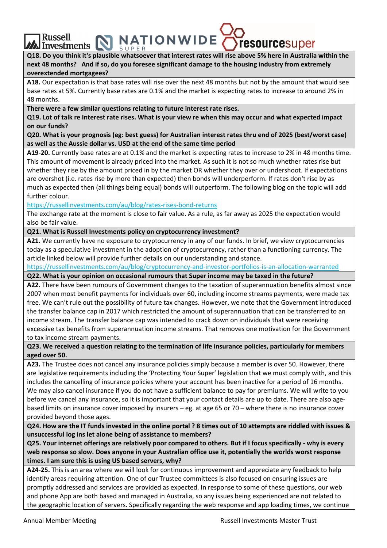A Eussell Envestments NATIONWIDE Cresourcesuper Q18. Do you think it's plausible whatsoever that interest rates will rise above 5% here in Australia within the next 48 months? And if so, do you foresee significant damage to the housing industry from extremely **overextended mortgagees?**

**A18.** Our expectation is that base rates will rise over the next 48 months but not by the amount that would see base rates at 5%. Currently base rates are 0.1% and the market is expecting rates to increase to around 2% in 48 months.

**There were a few similar questions relating to future interest rate rises.**

**Russell** 

Q19. Lot of talk re Interest rate rises. What is your view re when this may occur and what expected impact **on our funds?** 

Q20. What is your prognosis (eg: best guess) for Australian interest rates thru end of 2025 (best/worst case) **as well as the Aussie dollar vs. USD at the end of the same time period**

**A19‐20.** Currently base rates are at 0.1% and the market is expecting rates to increase to 2% in 48 months time. This amount of movement is already priced into the market. As such it is not so much whether rates rise but whether they rise by the amount priced in by the market OR whether they over or undershoot. If expectations are overshot (i.e. rates rise by more than expected) then bonds will underperform. If rates don't rise by as much as expected then (all things being equal) bonds will outperform. The following blog on the topic will add further colour.

https://russellinvestments.com/au/blog/rates‐rises‐bond‐returns

The exchange rate at the moment is close to fair value. As a rule, as far away as 2025 the expectation would also be fair value.

**Q21. What is Russell Investments policy on cryptocurrency investment?**

**A21.** We currently have no exposure to cryptocurrency in any of our funds. In brief, we view cryptocurrencies today as a speculative investment in the adoption of cryptocurrency, rather than a functioning currency. The article linked below will provide further details on our understanding and stance.

https://russellinvestments.com/au/blog/cryptocurrency‐and‐investor‐portfolios‐is‐an‐allocation‐warranted

**Q22. What is your opinion on occasional rumours that Super income may be taxed in the future?**

**A22.** There have been rumours of Government changes to the taxation of superannuation benefits almost since 2007 when most benefit payments for individuals over 60, including income streams payments, were made tax free. We can't rule out the possibility of future tax changes. However, we note that the Government introduced the transfer balance cap in 2017 which restricted the amount of superannuation that can be transferred to an income stream. The transfer balance cap was intended to crack down on individuals that were receiving excessive tax benefits from superannuation income streams. That removes one motivation for the Government to tax income stream payments.

**Q23. We received a question relating to the termination of life insurance policies, particularly for members aged over 50.**

**A23.** The Trustee does not cancel any insurance policies simply because a member is over 50. However, there are legislative requirements including the 'Protecting Your Super' legislation that we must comply with, and this includes the cancelling of insurance policies where your account has been inactive for a period of 16 months. We may also cancel insurance if you do not have a sufficient balance to pay for premiums. We will write to you before we cancel any insurance, so it is important that your contact details are up to date. There are also agebased limits on insurance cover imposed by insurers – eg. at age 65 or 70 – where there is no insurance cover provided beyond those ages.

Q24. How are the IT funds invested in the online portal ? 8 times out of 10 attempts are riddled with issues & **unsuccessful log ins let alone being of assistance to members?**

Q25. Your internet offerings are relatively poor compared to others. But if I focus specifically - why is every **web response so slow. Does anyone in your Australian office use it, potentially the worlds worst response times. I am sure this is using US based servers, why?**

**A24‐25.** This is an area where we will look for continuous improvement and appreciate any feedback to help identify areas requiring attention. One of our Trustee committees is also focused on ensuring issues are promptly addressed and services are provided as expected. In response to some of these questions, our web and phone App are both based and managed in Australia, so any issues being experienced are not related to the geographic location of servers. Specifically regarding the web response and app loading times, we continue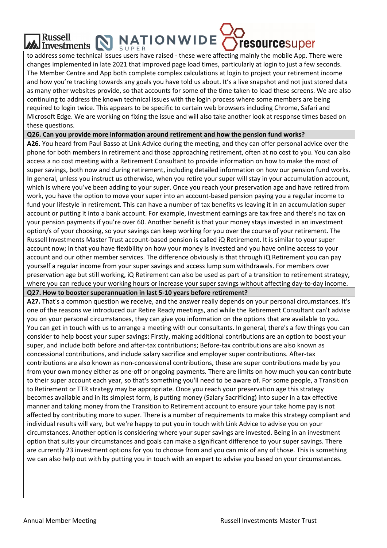#### **NATIONWIDE** Russell Investments  $\sum_{\{y\}\in\mathbb{R}^n}$

to address some technical issues users have raised ‐ these were affecting mainly the mobile App. There were changes implemented in late 2021 that improved page load times, particularly at login to just a few seconds. The Member Centre and App both complete complex calculations at login to project your retirement income and how you're tracking towards any goals you have told us about. It's a live snapshot and not just stored data as many other websites provide, so that accounts for some of the time taken to load these screens. We are also continuing to address the known technical issues with the login process where some members are being required to login twice. This appears to be specific to certain web browsers including Chrome, Safari and Microsoft Edge. We are working on fixing the issue and will also take another look at response times based on these questions.

**Q26. Can you provide more information around retirement and how the pension fund works?**

**A26.** You heard from Paul Basso at Link Advice during the meeting, and they can offer personal advice over the phone for both members in retirement and those approaching retirement, often at no cost to you. You can also access a no cost meeting with a Retirement Consultant to provide information on how to make the most of super savings, both now and during retirement, including detailed information on how our pension fund works. In general, unless you instruct us otherwise, when you retire your super will stay in your accumulation account, which is where you've been adding to your super. Once you reach your preservation age and have retired from work, you have the option to move your super into an account-based pension paying you a regular income to fund your lifestyle in retirement. This can have a number of tax benefits vs leaving it in an accumulation super account or putting it into a bank account. For example, investment earnings are tax free and there's no tax on your pension payments if you're over 60. Another benefit is that your money stays invested in an investment option/s of your choosing, so your savings can keep working for you over the course of your retirement. The Russell Investments Master Trust account‐based pension is called iQ Retirement. It is similar to your super account now; in that you have flexibility on how your money is invested and you have online access to your account and our other member services. The difference obviously is that through iQ Retirement you can pay yourself a regular income from your super savings and access lump sum withdrawals. For members over preservation age but still working, iQ Retirement can also be used as part of a transition to retirement strategy, where you can reduce your working hours or increase your super savings without affecting day-to-day income.

**Q27. How to booster superannuation in last 5‐10 years before retirement?**

**A27.** That's a common question we receive, and the answer really depends on your personal circumstances. It's one of the reasons we introduced our Retire Ready meetings, and while the Retirement Consultant can't advise you on your personal circumstances, they can give you information on the options that are available to you. You can get in touch with us to arrange a meeting with our consultants. In general, there's a few things you can consider to help boost your super savings: Firstly, making additional contributions are an option to boost your super, and include both before and after-tax contributions; Before-tax contributions are also known as concessional contributions, and include salary sacrifice and employer super contributions. After‐tax contributions are also known as non-concessional contributions, these are super contributions made by you from your own money either as one‐off or ongoing payments. There are limits on how much you can contribute to their super account each year, so that's something you'll need to be aware of. For some people, a Transition to Retirement or TTR strategy may be appropriate. Once you reach your preservation age this strategy becomes available and in its simplest form, is putting money (Salary Sacrificing) into super in a tax effective manner and taking money from the Transition to Retirement account to ensure your take home pay is not affected by contributing more to super. There is a number of requirements to make this strategy compliant and individual results will vary, but we're happy to put you in touch with Link Advice to advise you on your circumstances. Another option is considering where your super savings are invested. Being in an investment option that suits your circumstances and goals can make a significant difference to your super savings. There are currently 23 investment options for you to choose from and you can mix of any of those. This is something we can also help out with by putting you in touch with an expert to advise you based on your circumstances.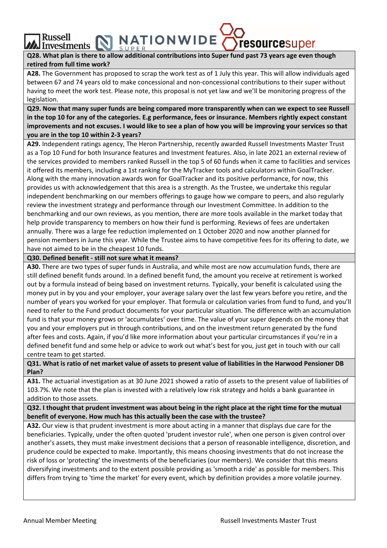Q28. What plan is there to allow additional contributions into Super fund past 73 years age even though **retired from full time work?**

Investments  $\sum_{\text{supers}} P(\text{supers})$  IVN WIDE  $\langle \rangle$  resourcesuper

**NATIONWIDE** 

**A28.** The Government has proposed to scrap the work test as of 1 July this year. This will allow individuals aged between 67 and 74 years old to make concessional and non-concessional contributions to their super without having to meet the work test. Please note, this proposal is not yet law and we'll be monitoring progress of the legislation.

Q29. Now that many super funds are being compared more transparently when can we expect to see Russell in the top 10 for any of the categories. E.g performance, fees or insurance. Members rightly expect constant improvements and not excuses. I would like to see a plan of how you will be improving your services so that **you are in the top 10 within 2‐3 years?**

**A29.** Independent ratings agency, The Heron Partnership, recently awarded Russell Investments Master Trust as a Top 10 Fund for both Insurance features and Investment features. Also, in late 2021 an external review of the services provided to members ranked Russell in the top 5 of 60 funds when it came to facilities and services it offered its members, including a 1st ranking for the MyTracker tools and calculators within GoalTracker. Along with the many innovation awards won for GoalTracker and its positive performance, for now, this provides us with acknowledgement that this area is a strength. As the Trustee, we undertake this regular independent benchmarking on our members offerings to gauge how we compare to peers, and also regularly review the investment strategy and performance through our Investment Committee. In addition to the benchmarking and our own reviews, as you mention, there are more tools available in the market today that help provide transparency to members on how their fund is performing. Reviews of fees are undertaken annually. There was a large fee reduction implemented on 1 October 2020 and now another planned for pension members in June this year. While the Trustee aims to have competitive fees for its offering to date, we have not aimed to be in the cheapest 10 funds.

**Q30. Defined benefit ‐ still not sure what it means?**

**Russell** 

**A30.** There are two types of super funds in Australia, and while most are now accumulation funds, there are still defined benefit funds around. In a defined benefit fund, the amount you receive at retirement is worked out by a formula instead of being based on investment returns. Typically, your benefit is calculated using the money put in by you and your employer, your average salary over the last few years before you retire, and the number of years you worked for your employer. That formula or calculation varies from fund to fund, and you'll need to refer to the Fund product documents for your particular situation. The difference with an accumulation fund is that your money grows or 'accumulates' over time. The value of your super depends on the money that you and your employers put in through contributions, and on the investment return generated by the fund after fees and costs. Again, if you'd like more information about your particular circumstances if you're in a defined benefit fund and some help or advice to work out what's best for you, just get in touch with our call centre team to get started.

Q31. What is ratio of net market value of assets to present value of liabilities in the Harwood Pensioner DB **Plan?**

**A31.** The actuarial investigation as at 30 June 2021 showed a ratio of assets to the present value of liabilities of 103.7%. We note that the plan is invested with a relatively low risk strategy and holds a bank guarantee in addition to those assets.

Q32. I thought that prudent investment was about being in the right place at the right time for the mutual **benefit of everyone. How much has this actually been the case with the trustee?** 

**A32.** Our view is that prudent investment is more about acting in a manner that displays due care for the beneficiaries. Typically, under the often quoted 'prudent investor rule', when one person is given control over another's assets, they must make investment decisions that a person of reasonable intelligence, discretion, and prudence could be expected to make. Importantly, this means choosing investments that do not increase the risk of loss or 'protecting' the investments of the beneficiaries (our members). We consider that this means diversifying investments and to the extent possible providing as 'smooth a ride' as possible for members. This differs from trying to 'time the market' for every event, which by definition provides a more volatile journey.